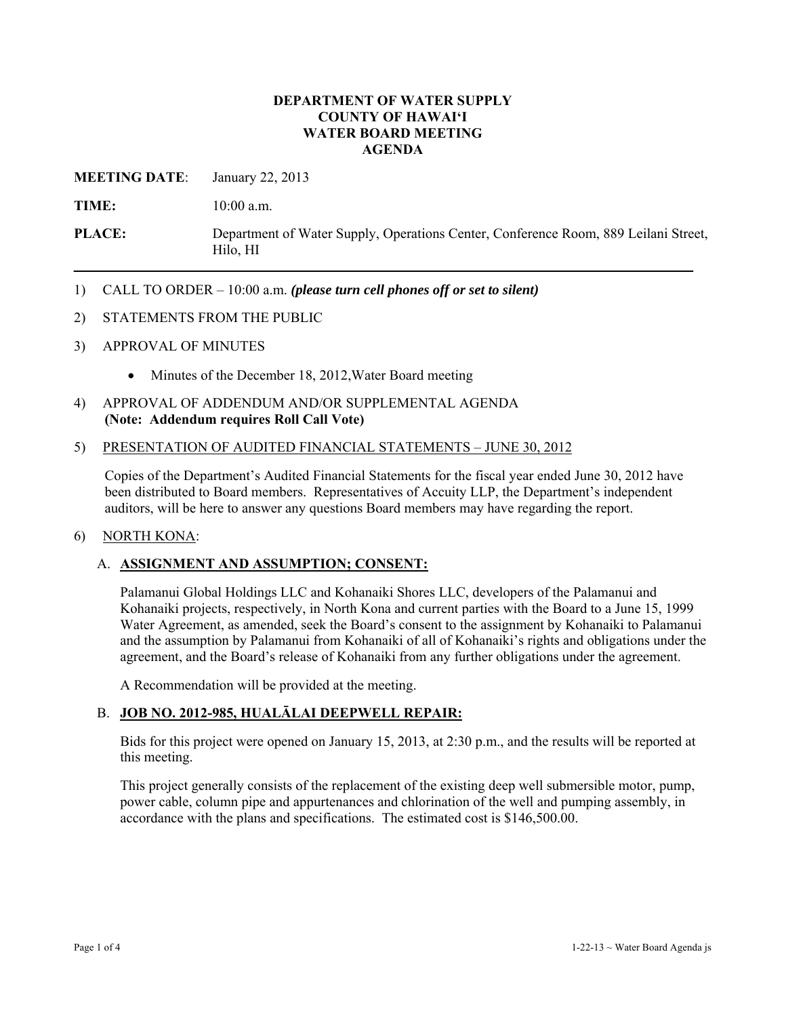### **DEPARTMENT OF WATER SUPPLY COUNTY OF HAWAI'I WATER BOARD MEETING AGENDA**

**MEETING DATE**: January 22, 2013

**TIME:** 10:00 a.m.

**PLACE:** Department of Water Supply, Operations Center, Conference Room, 889 Leilani Street, Hilo, HI

- 1) CALL TO ORDER 10:00 a.m. *(please turn cell phones off or set to silent)*
- 2) STATEMENTS FROM THE PUBLIC
- 3) APPROVAL OF MINUTES
	- Minutes of the December 18, 2012, Water Board meeting
- 4) APPROVAL OF ADDENDUM AND/OR SUPPLEMENTAL AGENDA **(Note: Addendum requires Roll Call Vote)**

### 5) PRESENTATION OF AUDITED FINANCIAL STATEMENTS – JUNE 30, 2012

Copies of the Department's Audited Financial Statements for the fiscal year ended June 30, 2012 have been distributed to Board members. Representatives of Accuity LLP, the Department's independent auditors, will be here to answer any questions Board members may have regarding the report.

#### 6) NORTH KONA:

### A. **ASSIGNMENT AND ASSUMPTION; CONSENT:**

Palamanui Global Holdings LLC and Kohanaiki Shores LLC, developers of the Palamanui and Kohanaiki projects, respectively, in North Kona and current parties with the Board to a June 15, 1999 Water Agreement, as amended, seek the Board's consent to the assignment by Kohanaiki to Palamanui and the assumption by Palamanui from Kohanaiki of all of Kohanaiki's rights and obligations under the agreement, and the Board's release of Kohanaiki from any further obligations under the agreement.

A Recommendation will be provided at the meeting.

## B. **JOB NO. 2012-985, HUALĀLAI DEEPWELL REPAIR:**

Bids for this project were opened on January 15, 2013, at 2:30 p.m., and the results will be reported at this meeting.

This project generally consists of the replacement of the existing deep well submersible motor, pump, power cable, column pipe and appurtenances and chlorination of the well and pumping assembly, in accordance with the plans and specifications. The estimated cost is \$146,500.00.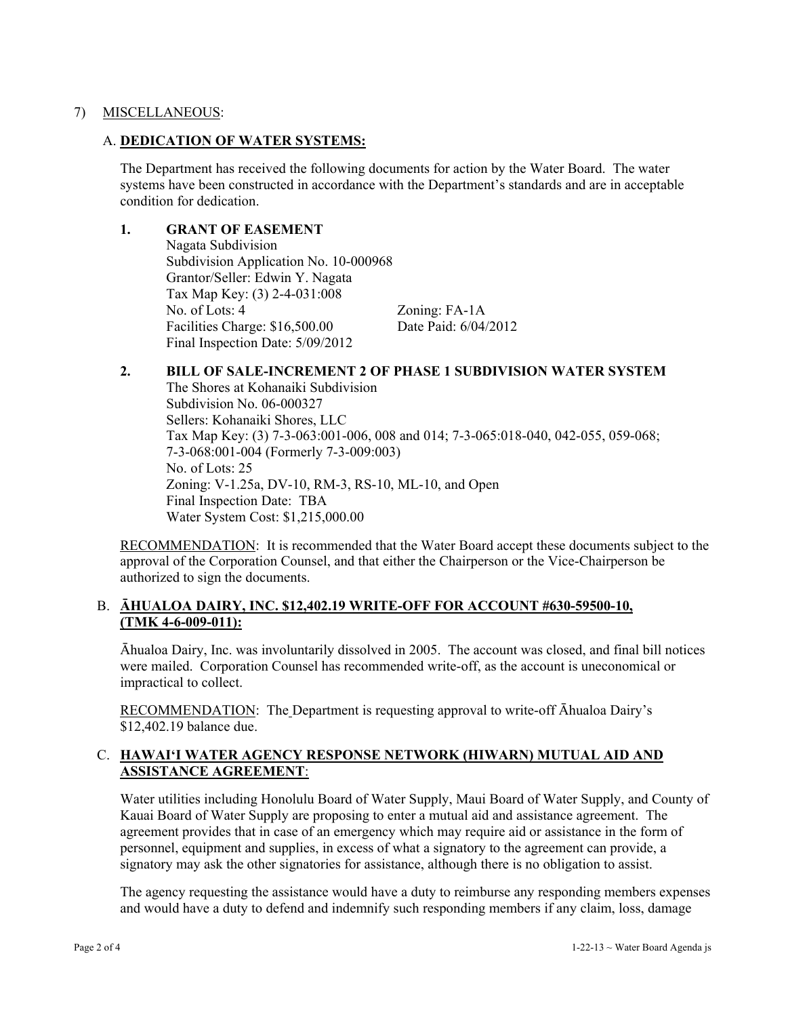## 7) MISCELLANEOUS:

## A. **DEDICATION OF WATER SYSTEMS:**

The Department has received the following documents for action by the Water Board. The water systems have been constructed in accordance with the Department's standards and are in acceptable condition for dedication.

## **1. GRANT OF EASEMENT**

 Nagata Subdivision Subdivision Application No. 10-000968 Grantor/Seller: Edwin Y. Nagata Tax Map Key: (3) 2-4-031:008 No. of Lots: 4 Zoning: FA-1A Facilities Charge: \$16,500.00 Date Paid: 6/04/2012 Final Inspection Date: 5/09/2012

# **2. BILL OF SALE-INCREMENT 2 OF PHASE 1 SUBDIVISION WATER SYSTEM**  The Shores at Kohanaiki Subdivision Subdivision No. 06-000327 Sellers: Kohanaiki Shores, LLC Tax Map Key: (3) 7-3-063:001-006, 008 and 014; 7-3-065:018-040, 042-055, 059-068; 7-3-068:001-004 (Formerly 7-3-009:003) No. of Lots: 25 Zoning: V-1.25a, DV-10, RM-3, RS-10, ML-10, and Open Final Inspection Date: TBA Water System Cost: \$1,215,000.00

RECOMMENDATION: It is recommended that the Water Board accept these documents subject to the approval of the Corporation Counsel, and that either the Chairperson or the Vice-Chairperson be authorized to sign the documents.

# B. **ĀHUALOA DAIRY, INC. \$12,402.19 WRITE-OFF FOR ACCOUNT #630-59500-10, (TMK 4-6-009-011):**

Āhualoa Dairy, Inc. was involuntarily dissolved in 2005. The account was closed, and final bill notices were mailed. Corporation Counsel has recommended write-off, as the account is uneconomical or impractical to collect.

RECOMMENDATION: The Department is requesting approval to write-off Āhualoa Dairy's \$12,402.19 balance due.

# C. **HAWAI'I WATER AGENCY RESPONSE NETWORK (HIWARN) MUTUAL AID AND ASSISTANCE AGREEMENT**:

Water utilities including Honolulu Board of Water Supply, Maui Board of Water Supply, and County of Kauai Board of Water Supply are proposing to enter a mutual aid and assistance agreement. The agreement provides that in case of an emergency which may require aid or assistance in the form of personnel, equipment and supplies, in excess of what a signatory to the agreement can provide, a signatory may ask the other signatories for assistance, although there is no obligation to assist.

The agency requesting the assistance would have a duty to reimburse any responding members expenses and would have a duty to defend and indemnify such responding members if any claim, loss, damage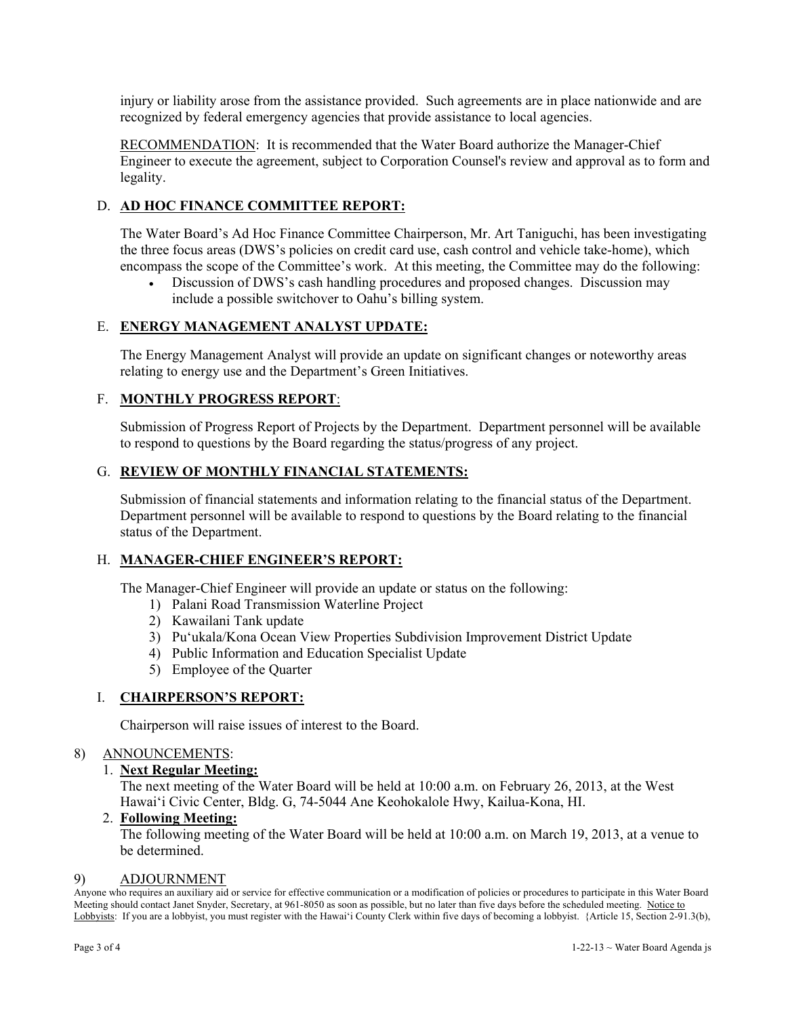injury or liability arose from the assistance provided. Such agreements are in place nationwide and are recognized by federal emergency agencies that provide assistance to local agencies.

RECOMMENDATION: It is recommended that the Water Board authorize the Manager-Chief Engineer to execute the agreement, subject to Corporation Counsel's review and approval as to form and legality.

# D. **AD HOC FINANCE COMMITTEE REPORT:**

The Water Board's Ad Hoc Finance Committee Chairperson, Mr. Art Taniguchi, has been investigating the three focus areas (DWS's policies on credit card use, cash control and vehicle take-home), which encompass the scope of the Committee's work. At this meeting, the Committee may do the following:

 Discussion of DWS's cash handling procedures and proposed changes. Discussion may include a possible switchover to Oahu's billing system.

# E. **ENERGY MANAGEMENT ANALYST UPDATE:**

The Energy Management Analyst will provide an update on significant changes or noteworthy areas relating to energy use and the Department's Green Initiatives.

# F. **MONTHLY PROGRESS REPORT**:

Submission of Progress Report of Projects by the Department. Department personnel will be available to respond to questions by the Board regarding the status/progress of any project.

# G. **REVIEW OF MONTHLY FINANCIAL STATEMENTS:**

Submission of financial statements and information relating to the financial status of the Department. Department personnel will be available to respond to questions by the Board relating to the financial status of the Department.

### H. **MANAGER-CHIEF ENGINEER'S REPORT:**

The Manager-Chief Engineer will provide an update or status on the following:

- 1) Palani Road Transmission Waterline Project
- 2) Kawailani Tank update
- 3) Pu'ukala/Kona Ocean View Properties Subdivision Improvement District Update
- 4) Public Information and Education Specialist Update
- 5) Employee of the Quarter

### I. **CHAIRPERSON'S REPORT:**

Chairperson will raise issues of interest to the Board.

### 8) ANNOUNCEMENTS:

### 1. **Next Regular Meeting:**

The next meeting of the Water Board will be held at 10:00 a.m. on February 26, 2013, at the West Hawai'i Civic Center, Bldg. G, 74-5044 Ane Keohokalole Hwy, Kailua-Kona, HI.

# 2. **Following Meeting:**

The following meeting of the Water Board will be held at 10:00 a.m. on March 19, 2013, at a venue to be determined.

### 9) ADJOURNMENT

Anyone who requires an auxiliary aid or service for effective communication or a modification of policies or procedures to participate in this Water Board Meeting should contact Janet Snyder, Secretary, at 961-8050 as soon as possible, but no later than five days before the scheduled meeting. Notice to Lobbyists: If you are a lobbyist, you must register with the Hawai'i County Clerk within five days of becoming a lobbyist. {Article 15, Section 2-91.3(b),